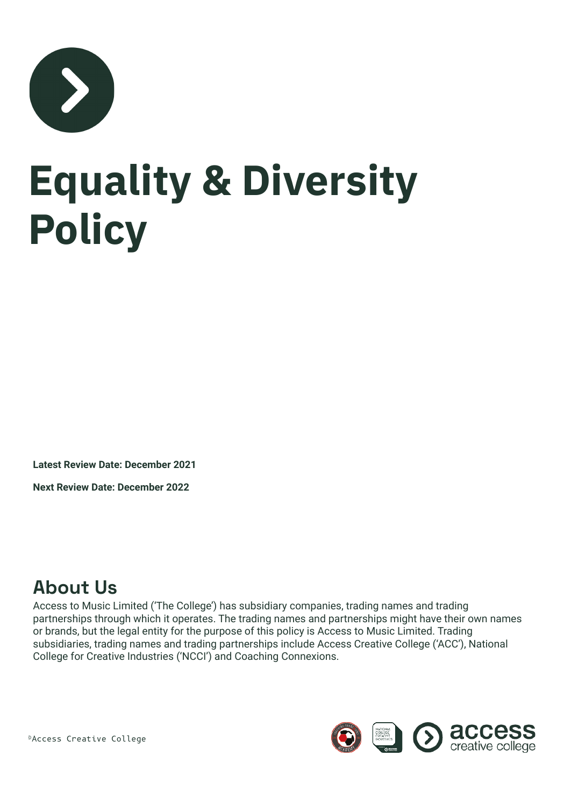

# **Equality & Diversity Policy**

**Latest Review Date: December 2021**

**Next Review Date: December 2022**

### **About Us**

Access to Music Limited ('The College') has subsidiary companies, trading names and trading partnerships through which it operates. The trading names and partnerships might have their own names or brands, but the legal entity for the purpose of this policy is Access to Music Limited. Trading subsidiaries, trading names and trading partnerships include Access Creative College ('ACC'), National College for Creative Industries ('NCCI') and Coaching Connexions.



©Access Creative College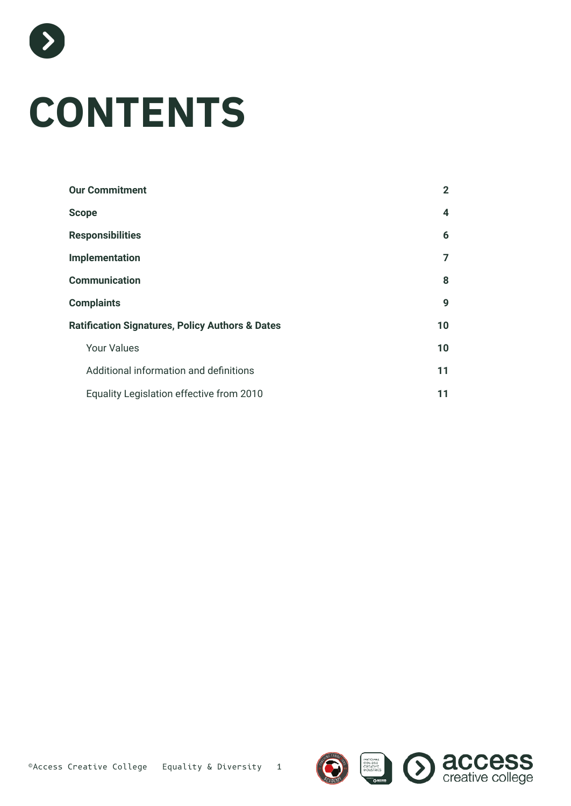

 $\sum_{i=1}^{n}$ 

| $\mathbf{2}$ |
|--------------|
| 4            |
| 6            |
| 7            |
| 8            |
| 9            |
| 10           |
| 10           |
| 11           |
| 11           |
|              |

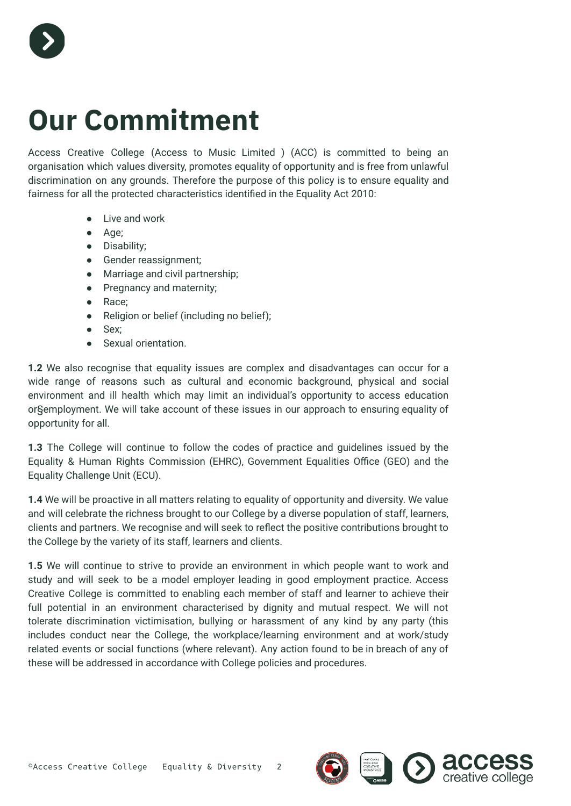

### <span id="page-2-0"></span>**Our Commitment**

Access Creative College (Access to Music Limited ) (ACC) is committed to being an organisation which values diversity, promotes equality of opportunity and is free from unlawful discrimination on any grounds. Therefore the purpose of this policy is to ensure equality and fairness for all the protected characteristics identified in the Equality Act 2010:

- Live and work
- Age;
- Disability;
- Gender reassignment;
- Marriage and civil partnership;
- Pregnancy and maternity;
- Race;
- Religion or belief (including no belief);
- Sex;
- Sexual orientation.

**1.2** We also recognise that equality issues are complex and disadvantages can occur for a wide range of reasons such as cultural and economic background, physical and social environment and ill health which may limit an individual's opportunity to access education or§employment. We will take account of these issues in our approach to ensuring equality of opportunity for all.

**1.3** The College will continue to follow the codes of practice and guidelines issued by the Equality & Human Rights Commission (EHRC), Government Equalities Office (GEO) and the Equality Challenge Unit (ECU).

**1.4** We will be proactive in all matters relating to equality of opportunity and diversity. We value and will celebrate the richness brought to our College by a diverse population of staff, learners, clients and partners. We recognise and will seek to reflect the positive contributions brought to the College by the variety of its staff, learners and clients.

**1.5** We will continue to strive to provide an environment in which people want to work and study and will seek to be a model employer leading in good employment practice. Access Creative College is committed to enabling each member of staff and learner to achieve their full potential in an environment characterised by dignity and mutual respect. We will not tolerate discrimination victimisation, bullying or harassment of any kind by any party (this includes conduct near the College, the workplace/learning environment and at work/study related events or social functions (where relevant). Any action found to be in breach of any of these will be addressed in accordance with College policies and procedures.

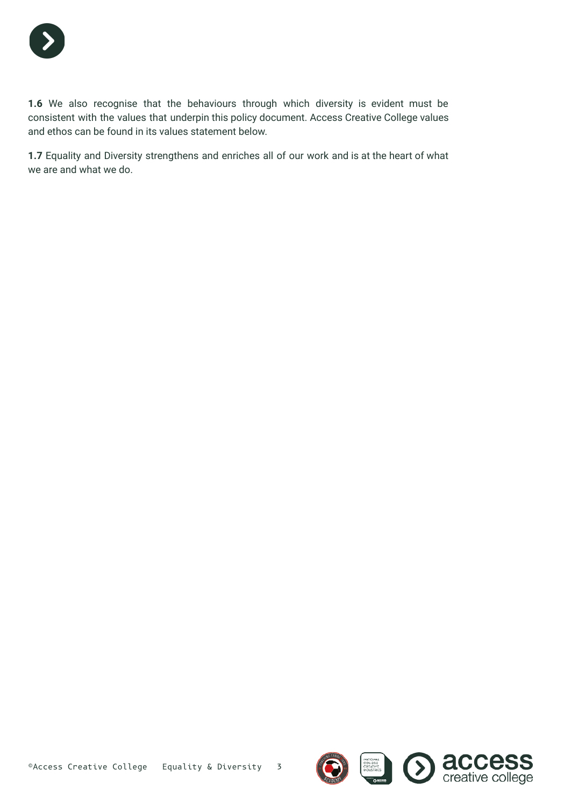

**1.6** We also recognise that the behaviours through which diversity is evident must be consistent with the values that underpin this policy document. Access Creative College values and ethos can be found in its values statement below.

**1.7** Equality and Diversity strengthens and enriches all of our work and is at the heart of what we are and what we do.

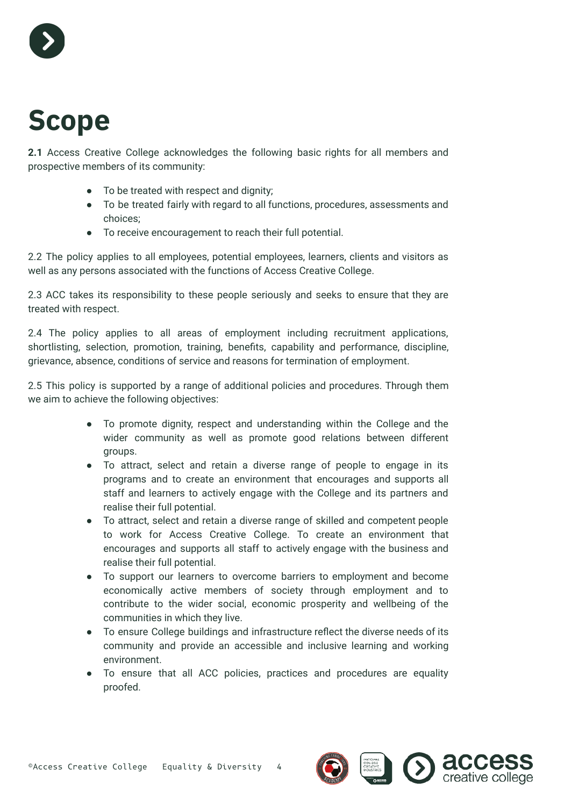

### <span id="page-4-0"></span>**Scope**

**2.1** Access Creative College acknowledges the following basic rights for all members and prospective members of its community:

- To be treated with respect and dignity;
- To be treated fairly with regard to all functions, procedures, assessments and choices;
- To receive encouragement to reach their full potential.

2.2 The policy applies to all employees, potential employees, learners, clients and visitors as well as any persons associated with the functions of Access Creative College.

2.3 ACC takes its responsibility to these people seriously and seeks to ensure that they are treated with respect.

2.4 The policy applies to all areas of employment including recruitment applications, shortlisting, selection, promotion, training, benefits, capability and performance, discipline, grievance, absence, conditions of service and reasons for termination of employment.

2.5 This policy is supported by a range of additional policies and procedures. Through them we aim to achieve the following objectives:

- To promote dignity, respect and understanding within the College and the wider community as well as promote good relations between different groups.
- To attract, select and retain a diverse range of people to engage in its programs and to create an environment that encourages and supports all staff and learners to actively engage with the College and its partners and realise their full potential.
- To attract, select and retain a diverse range of skilled and competent people to work for Access Creative College. To create an environment that encourages and supports all staff to actively engage with the business and realise their full potential.
- To support our learners to overcome barriers to employment and become economically active members of society through employment and to contribute to the wider social, economic prosperity and wellbeing of the communities in which they live.
- To ensure College buildings and infrastructure reflect the diverse needs of its community and provide an accessible and inclusive learning and working environment.
- To ensure that all ACC policies, practices and procedures are equality proofed.

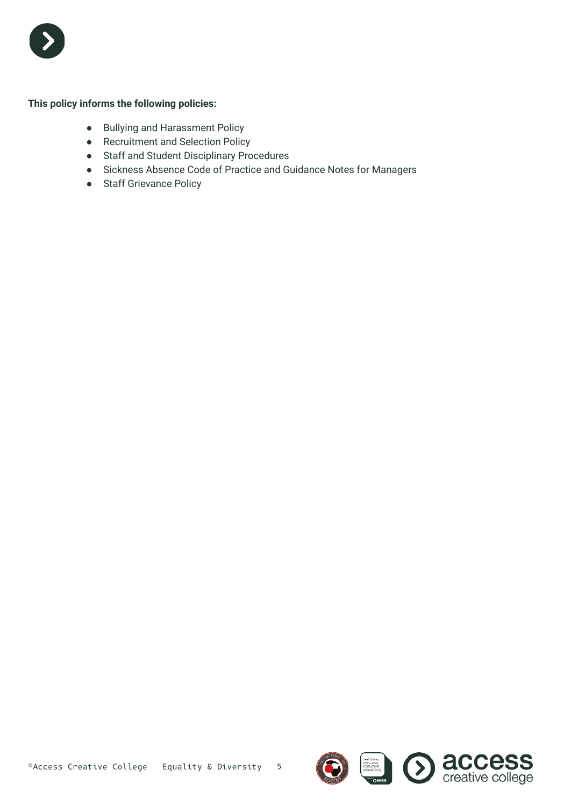

#### **This policy informs the following policies:**

- Bullying and Harassment Policy
- Recruitment and Selection Policy
- Staff and Student Disciplinary Procedures
- Sickness Absence Code of Practice and Guidance Notes for Managers
- Staff Grievance Policy

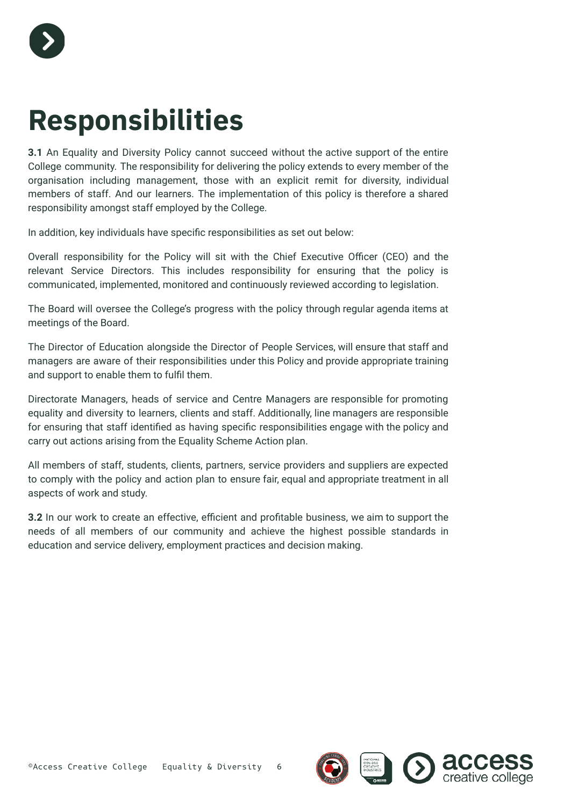

## <span id="page-6-0"></span>**Responsibilities**

**3.1** An Equality and Diversity Policy cannot succeed without the active support of the entire College community. The responsibility for delivering the policy extends to every member of the organisation including management, those with an explicit remit for diversity, individual members of staff. And our learners. The implementation of this policy is therefore a shared responsibility amongst staff employed by the College.

In addition, key individuals have specific responsibilities as set out below:

Overall responsibility for the Policy will sit with the Chief Executive Officer (CEO) and the relevant Service Directors. This includes responsibility for ensuring that the policy is communicated, implemented, monitored and continuously reviewed according to legislation.

The Board will oversee the College's progress with the policy through regular agenda items at meetings of the Board.

The Director of Education alongside the Director of People Services, will ensure that staff and managers are aware of their responsibilities under this Policy and provide appropriate training and support to enable them to fulfil them.

Directorate Managers, heads of service and Centre Managers are responsible for promoting equality and diversity to learners, clients and staff. Additionally, line managers are responsible for ensuring that staff identified as having specific responsibilities engage with the policy and carry out actions arising from the Equality Scheme Action plan.

All members of staff, students, clients, partners, service providers and suppliers are expected to comply with the policy and action plan to ensure fair, equal and appropriate treatment in all aspects of work and study.

**3.2** In our work to create an effective, efficient and profitable business, we aim to support the needs of all members of our community and achieve the highest possible standards in education and service delivery, employment practices and decision making.

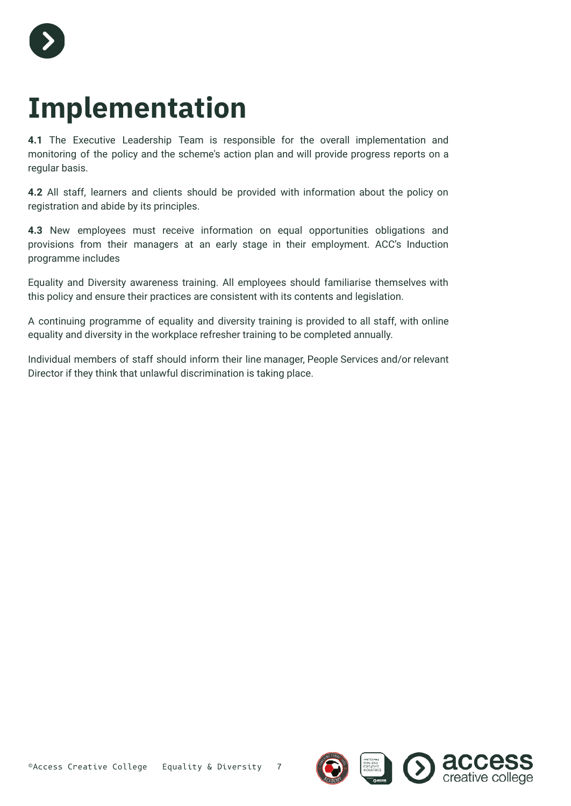

### <span id="page-7-0"></span>**Implementation**

**4.1** The Executive Leadership Team is responsible for the overall implementation and monitoring of the policy and the scheme's action plan and will provide progress reports on a regular basis.

**4.2** All staff, learners and clients should be provided with information about the policy on registration and abide by its principles.

**4.3** New employees must receive information on equal opportunities obligations and provisions from their managers at an early stage in their employment. ACC's Induction programme includes

Equality and Diversity awareness training. All employees should familiarise themselves with this policy and ensure their practices are consistent with its contents and legislation.

A continuing programme of equality and diversity training is provided to all staff, with online equality and diversity in the workplace refresher training to be completed annually.

Individual members of staff should inform their line manager, People Services and/or relevant Director if they think that unlawful discrimination is taking place.

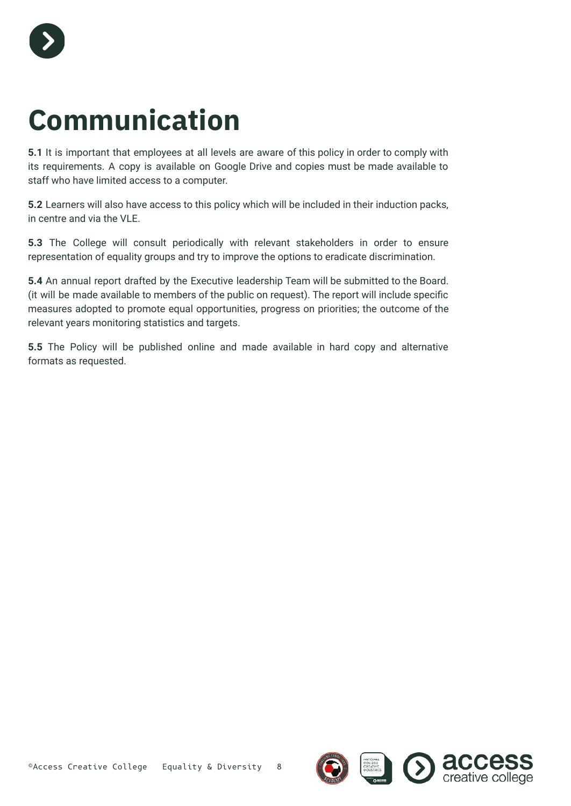

## <span id="page-8-0"></span>**Communication**

**5.1** It is important that employees at all levels are aware of this policy in order to comply with its requirements. A copy is available on Google Drive and copies must be made available to staff who have limited access to a computer.

**5.2** Learners will also have access to this policy which will be included in their induction packs, in centre and via the VLE.

**5.3** The College will consult periodically with relevant stakeholders in order to ensure representation of equality groups and try to improve the options to eradicate discrimination.

**5.4** An annual report drafted by the Executive leadership Team will be submitted to the Board. (it will be made available to members of the public on request). The report will include specific measures adopted to promote equal opportunities, progress on priorities; the outcome of the relevant years monitoring statistics and targets.

**5.5** The Policy will be published online and made available in hard copy and alternative formats as requested.

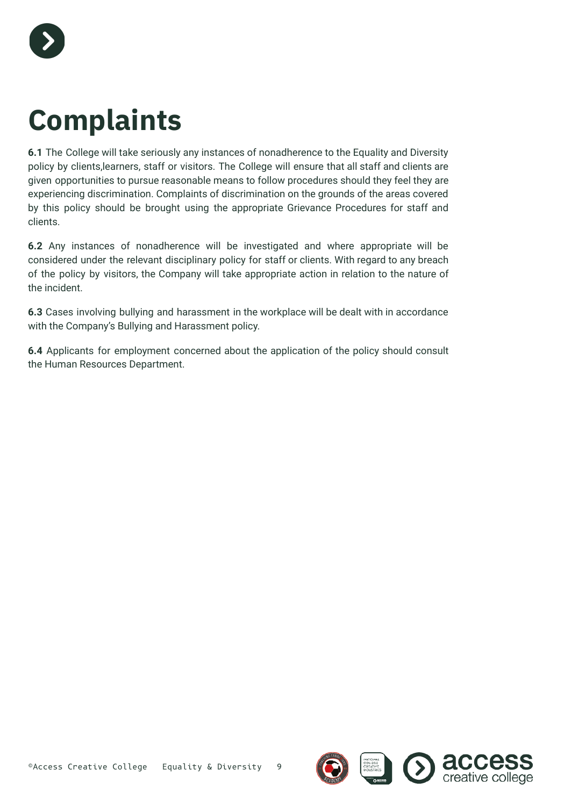

## <span id="page-9-0"></span>**Complaints**

**6.1** The College will take seriously any instances of nonadherence to the Equality and Diversity policy by clients,learners, staff or visitors. The College will ensure that all staff and clients are given opportunities to pursue reasonable means to follow procedures should they feel they are experiencing discrimination. Complaints of discrimination on the grounds of the areas covered by this policy should be brought using the appropriate Grievance Procedures for staff and clients.

**6.2** Any instances of nonadherence will be investigated and where appropriate will be considered under the relevant disciplinary policy for staff or clients. With regard to any breach of the policy by visitors, the Company will take appropriate action in relation to the nature of the incident.

**6.3** Cases involving bullying and harassment in the workplace will be dealt with in accordance with the Company's Bullying and Harassment policy.

**6.4** Applicants for employment concerned about the application of the policy should consult the Human Resources Department.

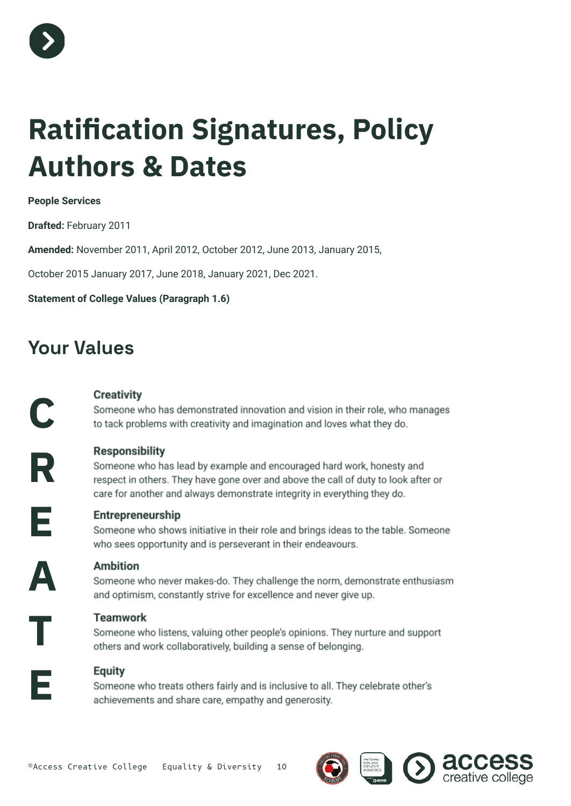

## <span id="page-10-0"></span>**Ratification Signatures, Policy Authors & Dates**

#### **People Services**

**Drafted:** February 2011

**Amended:** November 2011, April 2012, October 2012, June 2013, January 2015,

October 2015 January 2017, June 2018, January 2021, Dec 2021.

#### **Statement of College Values (Paragraph 1.6)**

### <span id="page-10-1"></span>**Your Values**

#### **Creativity**

Someone who has demonstrated innovation and vision in their role, who manages to tack problems with creativity and imagination and loves what they do.

**Responsibility** 

Someone who has lead by example and encouraged hard work, honesty and respect in others. They have gone over and above the call of duty to look after or care for another and always demonstrate integrity in everything they do.

**E**

**C**

**R**

#### Entrepreneurship

Someone who shows initiative in their role and brings ideas to the table. Someone who sees opportunity and is perseverant in their endeavours.

**A**

**T**

**E**

#### **Ambition**

Someone who never makes-do. They challenge the norm, demonstrate enthusiasm and optimism, constantly strive for excellence and never give up.

#### **Teamwork**

Someone who listens, valuing other people's opinions. They nurture and support others and work collaboratively, building a sense of belonging.

#### **Equity**

Someone who treats others fairly and is inclusive to all. They celebrate other's achievements and share care, empathy and generosity.

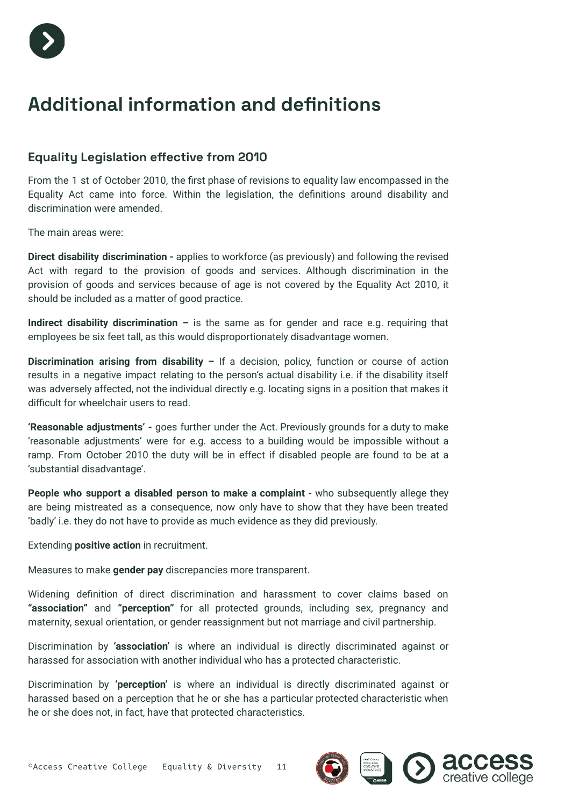

### <span id="page-11-0"></span>**Additional information and definitions**

#### <span id="page-11-1"></span>**Equality Legislation effective from 2010**

From the 1 st of October 2010, the first phase of revisions to equality law encompassed in the Equality Act came into force. Within the legislation, the definitions around disability and discrimination were amended.

The main areas were:

**Direct disability discrimination -** applies to workforce (as previously) and following the revised Act with regard to the provision of goods and services. Although discrimination in the provision of goods and services because of age is not covered by the Equality Act 2010, it should be included as a matter of good practice.

**Indirect disability discrimination –** is the same as for gender and race e.g. requiring that employees be six feet tall, as this would disproportionately disadvantage women.

**Discrimination arising from disability –** If a decision, policy, function or course of action results in a negative impact relating to the person's actual disability i.e. if the disability itself was adversely affected, not the individual directly e.g. locating signs in a position that makes it difficult for wheelchair users to read.

**'Reasonable adjustments' -** goes further under the Act. Previously grounds for a duty to make 'reasonable adjustments' were for e.g. access to a building would be impossible without a ramp. From October 2010 the duty will be in effect if disabled people are found to be at a 'substantial disadvantage'.

**People who support a disabled person to make a complaint -** who subsequently allege they are being mistreated as a consequence, now only have to show that they have been treated 'badly' i.e. they do not have to provide as much evidence as they did previously.

Extending **positive action** in recruitment.

Measures to make **gender pay** discrepancies more transparent.

Widening definition of direct discrimination and harassment to cover claims based on **"association"** and **"perception"** for all protected grounds, including sex, pregnancy and maternity, sexual orientation, or gender reassignment but not marriage and civil partnership.

Discrimination by **'association'** is where an individual is directly discriminated against or harassed for association with another individual who has a protected characteristic.

Discrimination by **'perception'** is where an individual is directly discriminated against or harassed based on a perception that he or she has a particular protected characteristic when he or she does not, in fact, have that protected characteristics.